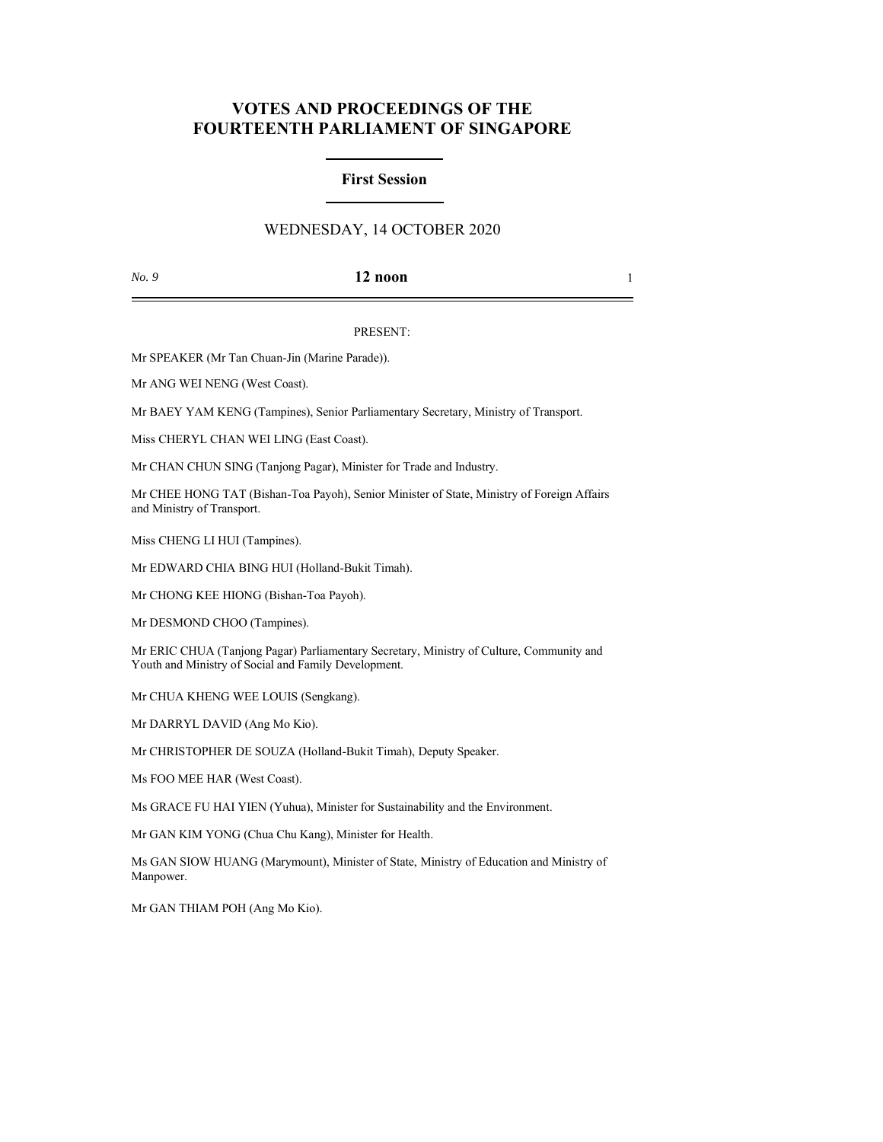# **VOTES AND PROCEEDINGS OF THE FOURTEENTH PARLIAMENT OF SINGAPORE**

### **First Session**

## WEDNESDAY, 14 OCTOBER 2020

### *No. 9* **12 noon** 1

#### PRESENT:

Mr SPEAKER (Mr Tan Chuan-Jin (Marine Parade)).

Mr ANG WEI NENG (West Coast).

Mr BAEY YAM KENG (Tampines), Senior Parliamentary Secretary, Ministry of Transport.

Miss CHERYL CHAN WEI LING (East Coast).

Mr CHAN CHUN SING (Tanjong Pagar), Minister for Trade and Industry.

Mr CHEE HONG TAT (Bishan-Toa Payoh), Senior Minister of State, Ministry of Foreign Affairs and Ministry of Transport.

Miss CHENG LI HUI (Tampines).

Mr EDWARD CHIA BING HUI (Holland-Bukit Timah).

Mr CHONG KEE HIONG (Bishan-Toa Payoh).

Mr DESMOND CHOO (Tampines).

Mr ERIC CHUA (Tanjong Pagar) Parliamentary Secretary, Ministry of Culture, Community and Youth and Ministry of Social and Family Development.

Mr CHUA KHENG WEE LOUIS (Sengkang).

Mr DARRYL DAVID (Ang Mo Kio).

Mr CHRISTOPHER DE SOUZA (Holland-Bukit Timah), Deputy Speaker.

Ms FOO MEE HAR (West Coast).

Ms GRACE FU HAI YIEN (Yuhua), Minister for Sustainability and the Environment.

Mr GAN KIM YONG (Chua Chu Kang), Minister for Health.

Ms GAN SIOW HUANG (Marymount), Minister of State, Ministry of Education and Ministry of Manpower.

Mr GAN THIAM POH (Ang Mo Kio).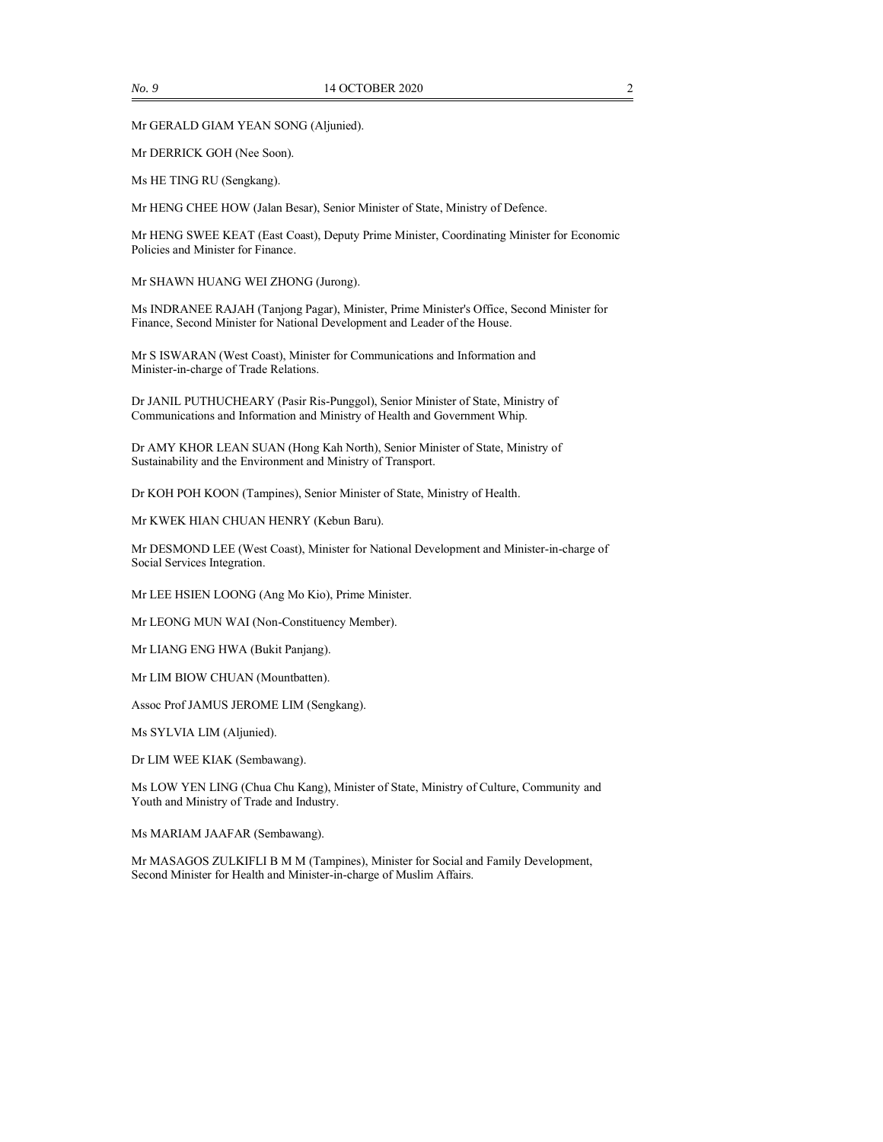Mr GERALD GIAM YEAN SONG (Aljunied).

Mr DERRICK GOH (Nee Soon).

Ms HE TING RU (Sengkang).

Mr HENG CHEE HOW (Jalan Besar), Senior Minister of State, Ministry of Defence.

Mr HENG SWEE KEAT (East Coast), Deputy Prime Minister, Coordinating Minister for Economic Policies and Minister for Finance.

Mr SHAWN HUANG WEI ZHONG (Jurong).

Ms INDRANEE RAJAH (Tanjong Pagar), Minister, Prime Minister's Office, Second Minister for Finance, Second Minister for National Development and Leader of the House.

Mr S ISWARAN (West Coast), Minister for Communications and Information and Minister-in-charge of Trade Relations.

Dr JANIL PUTHUCHEARY (Pasir Ris-Punggol), Senior Minister of State, Ministry of Communications and Information and Ministry of Health and Government Whip.

Dr AMY KHOR LEAN SUAN (Hong Kah North), Senior Minister of State, Ministry of Sustainability and the Environment and Ministry of Transport.

Dr KOH POH KOON (Tampines), Senior Minister of State, Ministry of Health.

Mr KWEK HIAN CHUAN HENRY (Kebun Baru).

Mr DESMOND LEE (West Coast), Minister for National Development and Minister-in-charge of Social Services Integration.

Mr LEE HSIEN LOONG (Ang Mo Kio), Prime Minister.

Mr LEONG MUN WAI (Non-Constituency Member).

Mr LIANG ENG HWA (Bukit Panjang).

Mr LIM BIOW CHUAN (Mountbatten).

Assoc Prof JAMUS JEROME LIM (Sengkang).

Ms SYLVIA LIM (Aljunied).

Dr LIM WEE KIAK (Sembawang).

Ms LOW YEN LING (Chua Chu Kang), Minister of State, Ministry of Culture, Community and Youth and Ministry of Trade and Industry.

Ms MARIAM JAAFAR (Sembawang).

Mr MASAGOS ZULKIFLI B M M (Tampines), Minister for Social and Family Development, Second Minister for Health and Minister-in-charge of Muslim Affairs.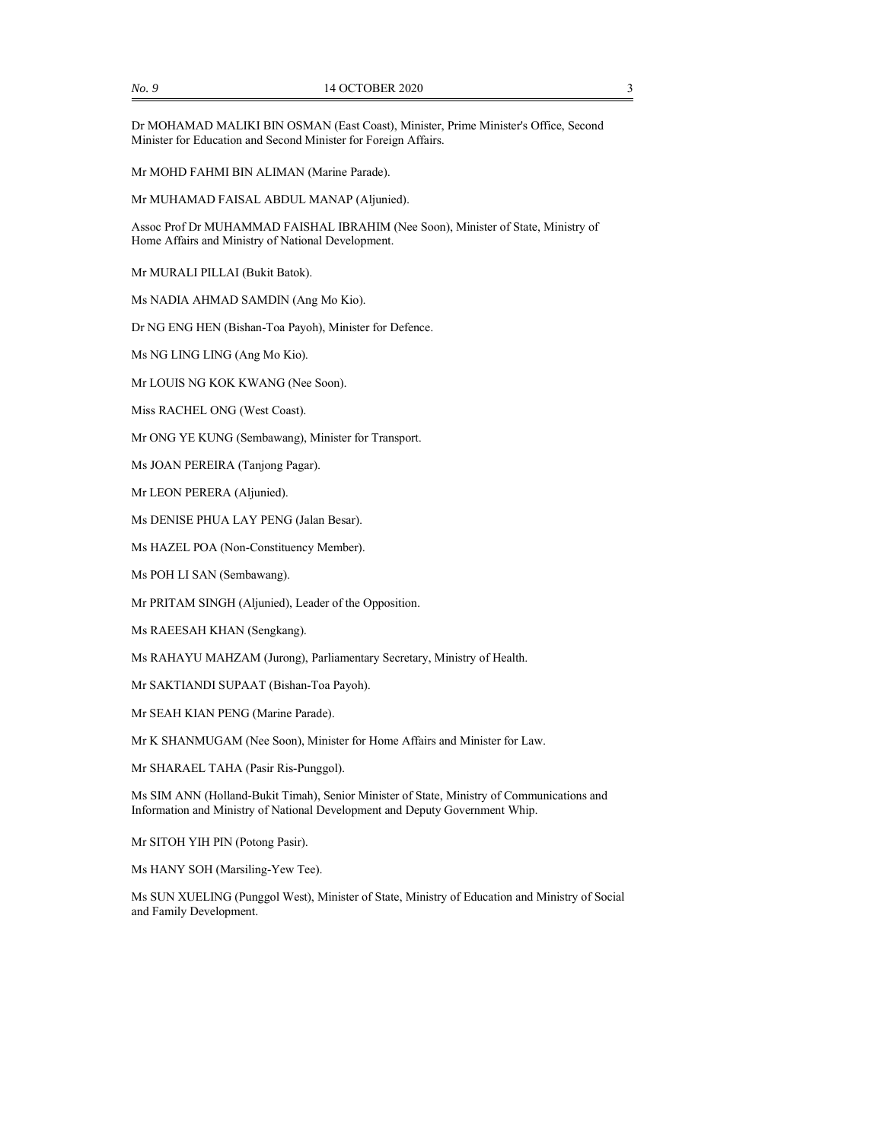Dr MOHAMAD MALIKI BIN OSMAN (East Coast), Minister, Prime Minister's Office, Second Minister for Education and Second Minister for Foreign Affairs.

Mr MOHD FAHMI BIN ALIMAN (Marine Parade).

Mr MUHAMAD FAISAL ABDUL MANAP (Aljunied).

Assoc Prof Dr MUHAMMAD FAISHAL IBRAHIM (Nee Soon), Minister of State, Ministry of Home Affairs and Ministry of National Development.

Mr MURALI PILLAI (Bukit Batok).

Ms NADIA AHMAD SAMDIN (Ang Mo Kio).

Dr NG ENG HEN (Bishan-Toa Payoh), Minister for Defence.

Ms NG LING LING (Ang Mo Kio).

Mr LOUIS NG KOK KWANG (Nee Soon).

Miss RACHEL ONG (West Coast).

Mr ONG YE KUNG (Sembawang), Minister for Transport.

Ms JOAN PEREIRA (Tanjong Pagar).

Mr LEON PERERA (Aljunied).

Ms DENISE PHUA LAY PENG (Jalan Besar).

Ms HAZEL POA (Non-Constituency Member).

Ms POH LI SAN (Sembawang).

Mr PRITAM SINGH (Aljunied), Leader of the Opposition.

Ms RAEESAH KHAN (Sengkang).

Ms RAHAYU MAHZAM (Jurong), Parliamentary Secretary, Ministry of Health.

Mr SAKTIANDI SUPAAT (Bishan-Toa Payoh).

Mr SEAH KIAN PENG (Marine Parade).

Mr K SHANMUGAM (Nee Soon), Minister for Home Affairs and Minister for Law.

Mr SHARAEL TAHA (Pasir Ris-Punggol).

Ms SIM ANN (Holland-Bukit Timah), Senior Minister of State, Ministry of Communications and Information and Ministry of National Development and Deputy Government Whip.

Mr SITOH YIH PIN (Potong Pasir).

Ms HANY SOH (Marsiling-Yew Tee).

Ms SUN XUELING (Punggol West), Minister of State, Ministry of Education and Ministry of Social and Family Development.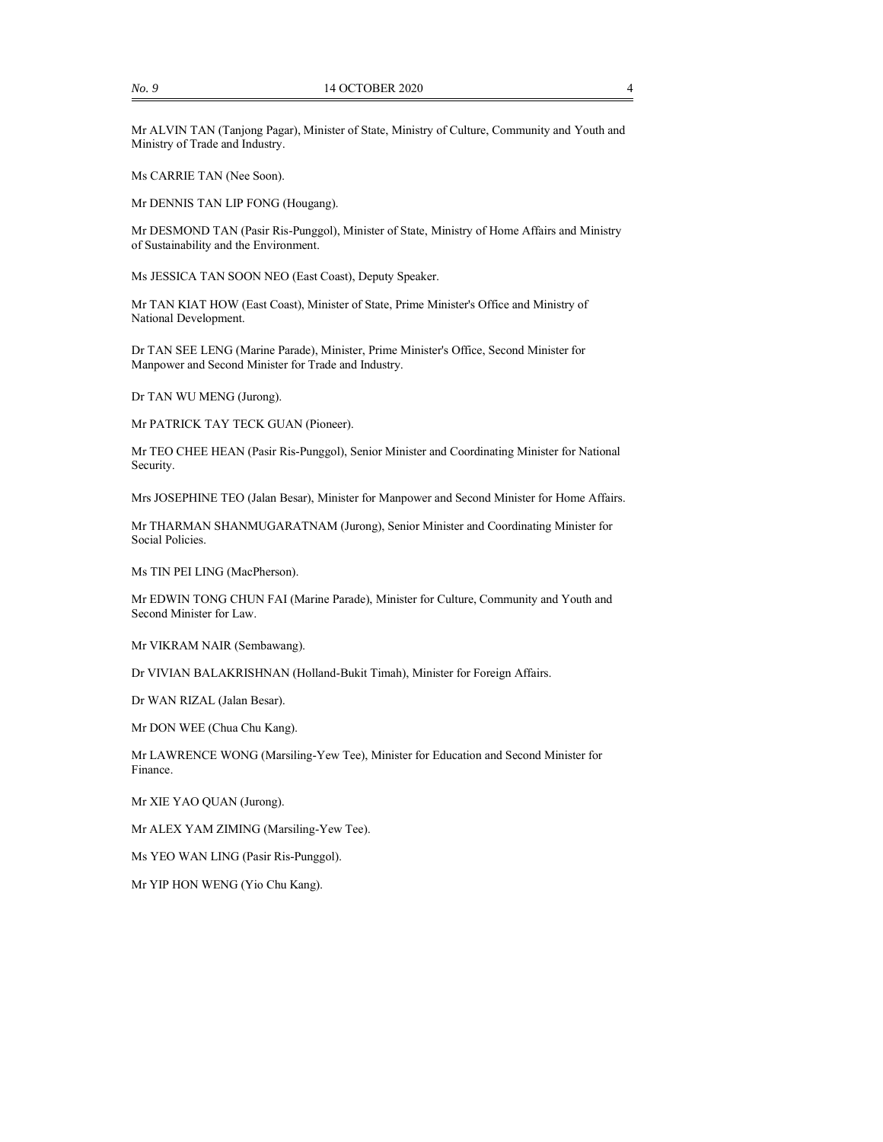Mr ALVIN TAN (Tanjong Pagar), Minister of State, Ministry of Culture, Community and Youth and Ministry of Trade and Industry.

Ms CARRIE TAN (Nee Soon).

Mr DENNIS TAN LIP FONG (Hougang).

Mr DESMOND TAN (Pasir Ris-Punggol), Minister of State, Ministry of Home Affairs and Ministry of Sustainability and the Environment.

Ms JESSICA TAN SOON NEO (East Coast), Deputy Speaker.

Mr TAN KIAT HOW (East Coast), Minister of State, Prime Minister's Office and Ministry of National Development.

Dr TAN SEE LENG (Marine Parade), Minister, Prime Minister's Office, Second Minister for Manpower and Second Minister for Trade and Industry.

Dr TAN WU MENG (Jurong).

Mr PATRICK TAY TECK GUAN (Pioneer).

Mr TEO CHEE HEAN (Pasir Ris-Punggol), Senior Minister and Coordinating Minister for National Security.

Mrs JOSEPHINE TEO (Jalan Besar), Minister for Manpower and Second Minister for Home Affairs.

Mr THARMAN SHANMUGARATNAM (Jurong), Senior Minister and Coordinating Minister for Social Policies.

Ms TIN PEI LING (MacPherson).

Mr EDWIN TONG CHUN FAI (Marine Parade), Minister for Culture, Community and Youth and Second Minister for Law.

Mr VIKRAM NAIR (Sembawang).

Dr VIVIAN BALAKRISHNAN (Holland-Bukit Timah), Minister for Foreign Affairs.

Dr WAN RIZAL (Jalan Besar).

Mr DON WEE (Chua Chu Kang).

Mr LAWRENCE WONG (Marsiling-Yew Tee), Minister for Education and Second Minister for Finance.

Mr XIE YAO QUAN (Jurong).

Mr ALEX YAM ZIMING (Marsiling-Yew Tee).

Ms YEO WAN LING (Pasir Ris-Punggol).

Mr YIP HON WENG (Yio Chu Kang).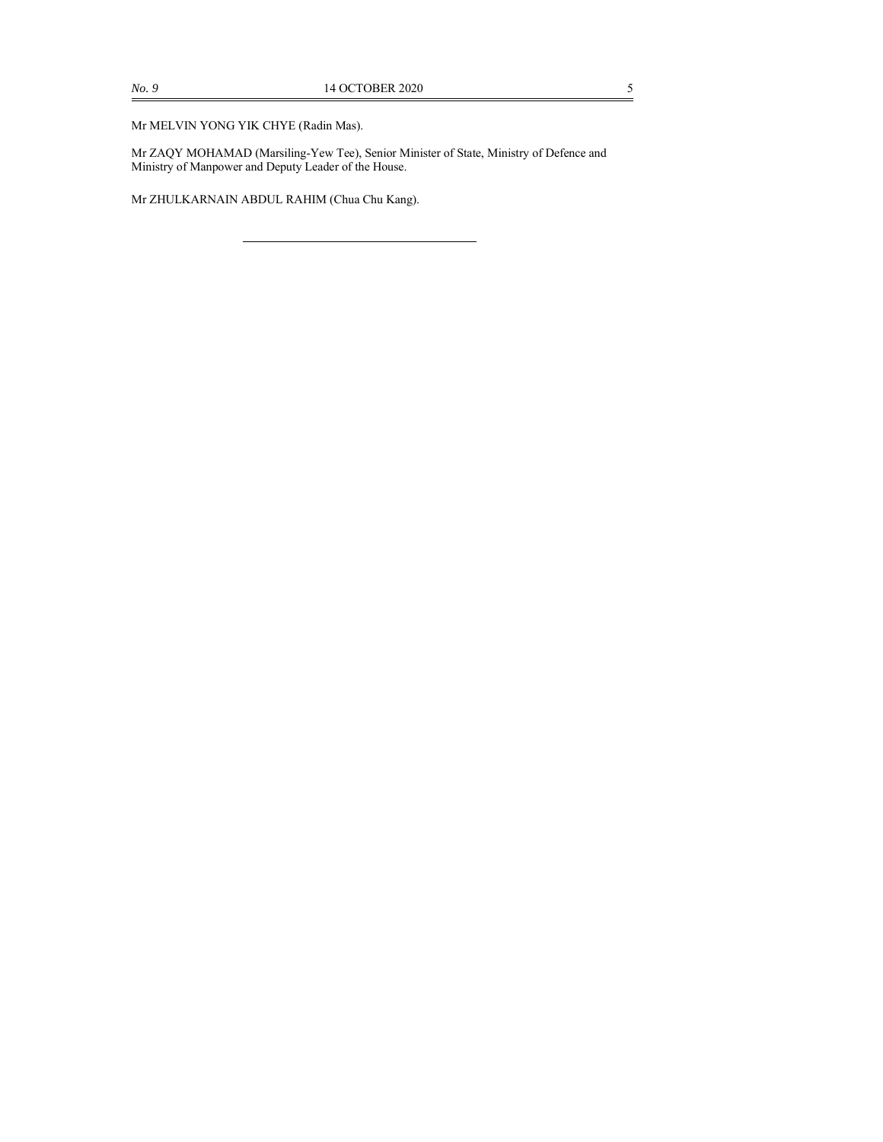Mr ZAQY MOHAMAD (Marsiling-Yew Tee), Senior Minister of State, Ministry of Defence and Ministry of Manpower and Deputy Leader of the House.

Mr ZHULKARNAIN ABDUL RAHIM (Chua Chu Kang).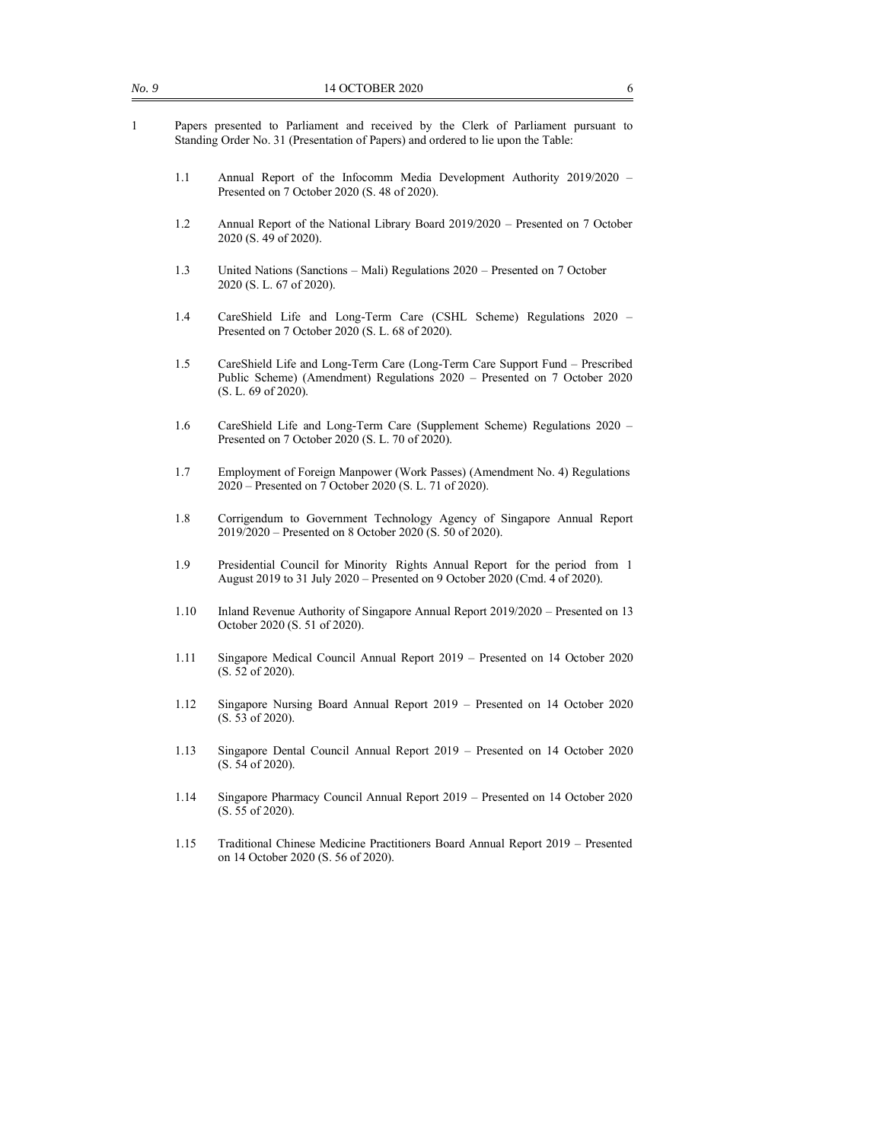|                                                                                                                                                                         | 14 OCTOBER 2020<br>6                                                                                                                                                             |
|-------------------------------------------------------------------------------------------------------------------------------------------------------------------------|----------------------------------------------------------------------------------------------------------------------------------------------------------------------------------|
| Papers presented to Parliament and received by the Clerk of Parliament pursuant to<br>Standing Order No. 31 (Presentation of Papers) and ordered to lie upon the Table: |                                                                                                                                                                                  |
| 1.1                                                                                                                                                                     | Annual Report of the Infocomm Media Development Authority 2019/2020 -<br>Presented on 7 October 2020 (S. 48 of 2020).                                                            |
| 1.2                                                                                                                                                                     | Annual Report of the National Library Board 2019/2020 - Presented on 7 October<br>2020 (S. 49 of 2020).                                                                          |
| 1.3                                                                                                                                                                     | United Nations (Sanctions - Mali) Regulations 2020 - Presented on 7 October<br>2020 (S. L. 67 of 2020).                                                                          |
| 1.4                                                                                                                                                                     | CareShield Life and Long-Term Care (CSHL Scheme) Regulations 2020 -<br>Presented on 7 October 2020 (S. L. 68 of 2020).                                                           |
| 1.5                                                                                                                                                                     | CareShield Life and Long-Term Care (Long-Term Care Support Fund - Prescribed<br>Public Scheme) (Amendment) Regulations 2020 - Presented on 7 October 2020<br>(S. L. 69 of 2020). |
| 1.6                                                                                                                                                                     | CareShield Life and Long-Term Care (Supplement Scheme) Regulations 2020 -<br>Presented on 7 October 2020 (S. L. 70 of 2020).                                                     |
| 1.7                                                                                                                                                                     | Employment of Foreign Manpower (Work Passes) (Amendment No. 4) Regulations<br>2020 – Presented on 7 October 2020 (S. L. 71 of 2020).                                             |
| 1.8                                                                                                                                                                     | Corrigendum to Government Technology Agency of Singapore Annual Report<br>2019/2020 – Presented on 8 October 2020 (S. 50 of 2020).                                               |
| 1.9                                                                                                                                                                     | Presidential Council for Minority Rights Annual Report for the period from 1<br>August 2019 to 31 July 2020 – Presented on 9 October 2020 (Cmd. 4 of 2020).                      |
| 1.10                                                                                                                                                                    | Inland Revenue Authority of Singapore Annual Report 2019/2020 – Presented on 13<br>October 2020 (S. 51 of 2020).                                                                 |
| 1.11                                                                                                                                                                    | Singapore Medical Council Annual Report 2019 – Presented on 14 October 2020<br>(S. 52 of 2020).                                                                                  |
| 1.12                                                                                                                                                                    | Singapore Nursing Board Annual Report 2019 - Presented on 14 October 2020<br>(S. 53 of 2020).                                                                                    |
| 1.13                                                                                                                                                                    | Singapore Dental Council Annual Report 2019 – Presented on 14 October 2020<br>(S. 54 of 2020).                                                                                   |
| 1.14                                                                                                                                                                    | Singapore Pharmacy Council Annual Report 2019 - Presented on 14 October 2020<br>(S. 55 of 2020).                                                                                 |
| 1.15                                                                                                                                                                    | Traditional Chinese Medicine Practitioners Board Annual Report 2019 - Presented<br>on 14 October 2020 (S. 56 of 2020).                                                           |